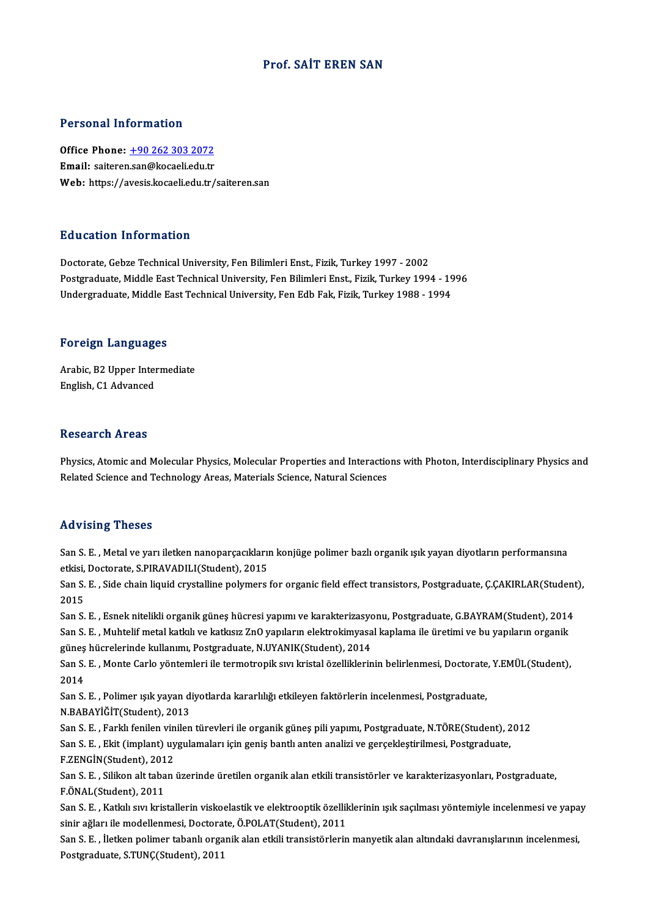# Prof. SAİT EREN SAN

# Personal Information

Personal Information<br>Office Phone: <u>+90 262 303 2072</u><br>Email: saitaren san@kesaeliedu.tr 1 ST SOMAT THEST INCLUST<br>Office Phone: <u>+90 262 303 2072</u><br>Email: saiteren[.san@kocaeli.edu.tr](tel:+90 262 303 2072) Email: saiteren.san@kocaeli.edu.tr<br>Web: https://avesis.kocaeli.edu.tr/saiteren.san

## Education Information

Doctorate, Gebze Technical University, Fen Bilimleri Enst., Fizik, Turkey 1997 - 2002 Puususeen minermussen<br>Doctorate, Gebze Technical University, Fen Bilimleri Enst., Fizik, Turkey 1997 - 2002<br>Postgraduate, Middle East Technical University, Fen Bilimleri Enst., Fizik, Turkey 1994 - 1996<br>Undergraduate, Midd Doctorate, Gebze Technical University, Fen Bilimleri Enst., Fizik, Turkey 1997 - 2002<br>Postgraduate, Middle East Technical University, Fen Bilimleri Enst., Fizik, Turkey 1994 - 19<br>Undergraduate, Middle East Technical Univer Undergraduate, Middle East Technical University, Fen Edb Fak, Fizik, Turkey 1988 - 1994<br>Foreign Languages

Arabic, B2 Upper Intermediate English, C1 Advanced

## **Research Areas**

Research Areas<br>Physics, Atomic and Molecular Physics, Molecular Properties and Interactions with Photon, Interdisciplinary Physics and<br>Related Science and Technology Areas, Materials Science, Natural Sciences Resear on III oas<br>Physics, Atomic and Molecular Physics, Molecular Properties and Interactio<br>Related Science and Technology Areas, Materials Science, Natural Sciences Related Science and Technology Areas, Materials Science, Natural Sciences<br>Advising Theses

Advising Theses<br>San S.E. , Metal ve yarı iletken nanoparçacıkların konjüge polimer bazlı organik ışık yayan diyotların performansına<br>Stirsi, Desterate S.BIBAVADII I(Student), 2015 eta vienig viesses<br>San S. E. , Metal ve yarı iletken nanoparçacıklarıı<br>etkisi, Doctorate, S.PIRAVADILI(Student), 2015<br>San S. E. . Side shain liquid arystalline nolumeres San S. E. , Metal ve yarı iletken nanoparçacıkların konjüge polimer bazlı organik ışık yayan diyotların performansına<br>etkisi, Doctorate, S.PIRAVADILI(Student), 2015<br>San S. E. , Side chain liquid crystalline polymers for or

etkisi,<br>San S.<br>2015<br>San S San S. E. , Side chain liquid crystalline polymers for organic field effect transistors, Postgraduate, Ç.ÇAKIRLAR(Student<br>2015<br>San S. E. , Esnek nitelikli organik güneş hücresi yapımı ve karakterizasyonu, Postgraduate, G.B

2015<br>San S. E. , Esnek nitelikli organik güneş hücresi yapımı ve karakterizasyonu, Postgraduate, G.BAYRAM(Student), 2014<br>San S. E. , Muhtelif metal katkılı ve katkısız ZnO yapıların elektrokimyasal kaplama ile üretimi ve b San S. E. , Esnek nitelikli organik güneş hücresi yapımı ve karakterizasyo<br>San S. E. , Muhtelif metal katkılı ve katkısız ZnO yapıların elektrokimyasa<br>güneş hücrelerinde kullanımı, Postgraduate, N.UYANIK(Student), 2014<br>San

San S. E. , Monte Carlo yöntemleri ile termotropik sıvı kristal özelliklerinin belirlenmesi, Doctorate, Y.EMÜL(Student),<br>2014 güneş<br>San S.<br>2014 San S. E. , Monte Carlo yöntemleri ile termotropik sıvı kristal özelliklerinin belirlenmesi, Doctorate<br>2014<br>San S. E. , Polimer ışık yayan diyotlarda kararlılığı etkileyen faktörlerin incelenmesi, Postgraduate,<br>N BABAYİČİT

2014<br>San S. E. , Polimer ışık yayan d<br>N.BABAYİĞİT(Student), 2013<br>San S. E. , Farklı fanilan yinilan N.BABAYİĞİT(Student), 2013<br>San S. E. , Farklı fenilen vinilen türevleri ile organik güneş pili yapımı, Postgraduate, N.TÖRE(Student), 2012

N.BABAYİĞİT(Student), 2013<br>San S. E. , Farklı fenilen vinilen türevleri ile organik güneş pili yapımı, Postgraduate, N.TÖRE(Student), 2<br>San S. E. , Ekit (implant) uygulamaları için geniş bantlı anten analizi ve gerçekleşti San S. E. , Farklı fenilen vin<br>San S. E. , Ekit (implant) uy<br>F.ZENGİN(Student), 2012<br>San S. E. , Silikan ak taban San S. E. , Ekit (implant) uygulamaları için geniş bantlı anten analizi ve gerçekleştirilmesi, Postgraduate,<br>F.ZENGİN(Student), 2012<br>San S. E. , Silikon alt taban üzerinde üretilen organik alan etkili transistörler ve kara

F.ZENGİN(Student), 2012<br>San S. E. , Silikon alt taban üzerinde üretilen organik alan etkili transistörler ve karakterizasyonları, Postgraduate,<br>F.ÖNAL(Student), 2011 San S. E. , Silikon alt taban üzerinde üretilen organik alan etkili transistörler ve karakterizasyonları, Postgraduate,<br>F.ÖNAL(Student), 2011<br>San S. E. , Katkılı sıvı kristallerin viskoelastik ve elektrooptik özelliklerini

F.ÖNAL(Student), 2011<br>San S. E. , Katkılı sıvı kristallerin viskoelastik ve elektrooptik özellil<br>sinir ağları ile modellenmesi, Doctorate, Ö.POLAT(Student), 2011<br>San S. E., İletken polimer tabenlı ergenik elen etkili trans San S. E. , Katkılı sıvı kristallerin viskoelastik ve elektrooptik özelliklerinin ışık saçılması yöntemiyle incelenmesi ve yapa<br>sinir ağları ile modellenmesi, Doctorate, Ö.POLAT(Student), 2011<br>San S. E. , İletken polimer t

sinir ağları ile modellenmesi, Doctora<br>San S. E. , İletken polimer tabanlı orga<br>Postgraduate, S.TUNÇ(Student), 2011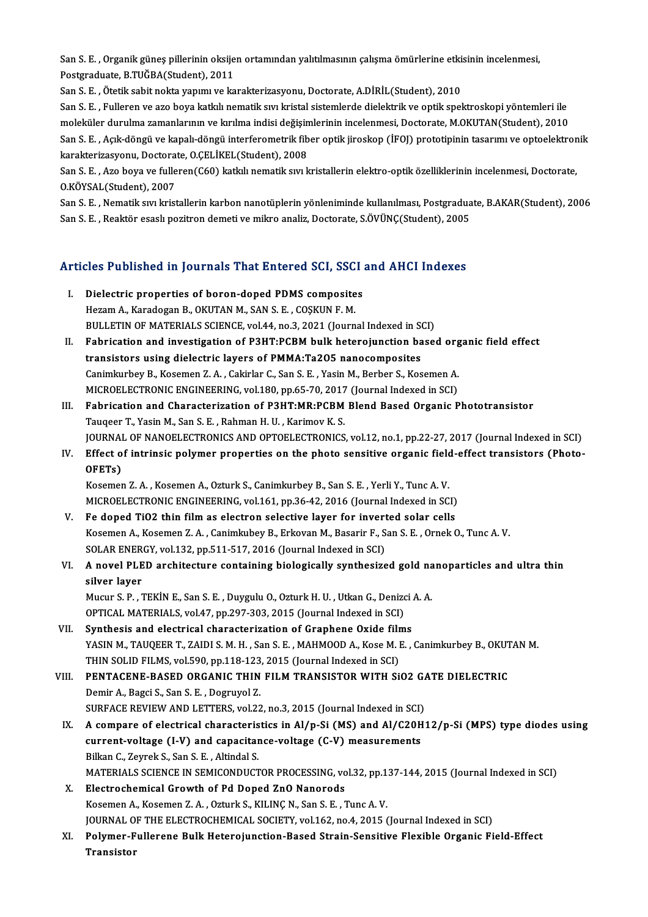San S. E. , Organik güneş pillerinin oksijen ortamından yalıtılmasının çalışma ömürlerine etkisinin incelenmesi,<br>Pestsraduata B.TUČBA(Student), 2011 San S. E. , Organik güneş pillerinin oksije<br>Postgraduate, B.TUĞBA(Student), 2011<br>San S. E., Ötatik sabit nakta yanımı ve ka San S. E. , Organik güneş pillerinin oksijen ortamından yalıtılmasının çalışma ömürlerine etki:<br>Postgraduate, B.TUĞBA(Student), 2011<br>San S. E. , Ötetik sabit nokta yapımı ve karakterizasyonu, Doctorate, A.DİRİL(Student), 2

Postgraduate, B.TUĞBA(Student), 2011<br>San S. E. , Ötetik sabit nokta yapımı ve karakterizasyonu, Doctorate, A.DİRİL(Student), 2010<br>San S. E. , Fulleren ve azo boya katkılı nematik sıvı kristal sistemlerde dielektrik ve opti San S. E. , Ötetik sabit nokta yapımı ve karakterizasyonu, Doctorate, A.DİRİL(Student), 2010<br>San S. E. , Fulleren ve azo boya katkılı nematik sıvı kristal sistemlerde dielektrik ve optik spektroskopi yöntemleri ile<br>molekül San S. E. , Fulleren ve azo boya katkılı nematik sıvı kristal sistemlerde dielektrik ve optik spektroskopi yöntemleri ile<br>moleküler durulma zamanlarının ve kırılma indisi değişimlerinin incelenmesi, Doctorate, M.OKUTAN(Stu moleküler durulma zamanlarının ve kırılma indisi değişin<br>San S. E. , Açık-döngü ve kapalı-döngü interferometrik fib<br>karakterizasyonu, Doctorate, O.ÇELİKEL(Student), 2008<br>San S. E., Age beva ve fullaren(C60) katlalı nematik San S. E. , Açık-döngü ve kapalı-döngü interferometrik fiber optik jiroskop (İFOJ) prototipinin tasarımı ve optoelektror<br>karakterizasyonu, Doctorate, O.ÇELİKEL(Student), 2008<br>San S. E. , Azo boya ve fulleren(C60) katkılı n

karakterizasyonu, Doctorate, O.ÇELİKEL(Student), 2008<br>San S. E. , Azo boya ve fulleren(C60) katkılı nematik sıvı kristallerin elektro-optik özelliklerinin incelenmesi, Doctorate,<br>O.KÖYSAL(Student), 2007 San S. E. , Azo boya ve fulleren(C60) katkılı nematik sıvı kristallerin elektro-optik özelliklerinin incelenmesi, Doctorate,<br>O.KÖYSAL(Student), 2007<br>San S. E. , Nematik sıvı kristallerin karbon nanotüplerin yönleniminde ku

O.KÖYSAL(Student), 2007<br>San S. E. , Nematik sıvı kristallerin karbon nanotüplerin yönleniminde kullanılması, Postgradua<br>San S. E. , Reaktör esaslı pozitron demeti ve mikro analiz, Doctorate, S.ÖVÜNÇ(Student), 2005

# san S. E. , Reaktor esasti pozitron demed ve mikro analiz, Doctorate, S.Ov UNÇ(Student), 2005<br>Articles Published in Journals That Entered SCI, SSCI and AHCI Indexes

- The Fublished in Journals That Entered SCI, SSCI<br>I. Dielectric properties of boron-doped PDMS composites<br>Herem A Kanadesan B OKUTAN M SANS E COSKUNE M I. Dielectric properties of boron-doped PDMS composites<br>Hezam A., Karadogan B., OKUTAN M., SAN S. E., COŞKUN F. M. Dielectric properties of boron-doped PDMS composites<br>Hezam A., Karadogan B., OKUTAN M., SAN S. E. , COŞKUN F. M.<br>BULLETIN OF MATERIALS SCIENCE, vol.44, no.3, 2021 (Journal Indexed in SCI)<br>Febrisation and investigation of B
- II. Fabrication and investigation of P3HT:PCBM bulk heterojunction based organic field effect<br>transistors using dielectric layers of PMMA:Ta2O5 nanocomposites BULLETIN OF MATERIALS SCIENCE, vol.44, no.3, 2021 (Journal Indexed in St<br>Fabrication and investigation of P3HT:PCBM bulk heterojunction ba<br>transistors using dielectric layers of PMMA:Ta2O5 nanocomposites<br>Canimlaybay B. Kos Fabrication and investigation of P3HT:PCBM bulk heterojunction based org<br>transistors using dielectric layers of PMMA:Ta2O5 nanocomposites<br>Canimkurbey B., Kosemen Z. A. , Cakirlar C., San S. E. , Yasin M., Berber S., Koseme transistors using dielectric layers of PMMA:Ta2O5 nanocomposites<br>Canimkurbey B., Kosemen Z. A. , Cakirlar C., San S. E. , Yasin M., Berber S., Kosemen A.<br>MICROELECTRONIC ENGINEERING, vol.180, pp.65-70, 2017 (Journal Indexe Canimkurbey B., Kosemen Z. A., Cakirlar C., San S. E., Yasin M., Berber S., Kosemen A.<br>MICROELECTRONIC ENGINEERING, vol.180, pp.65-70, 2017 (Journal Indexed in SCI)<br>III. Fabrication and Characterization of P3HT:MR:PCBM Ble
- MICROELECTRONIC ENGINEERING, vol.180, pp.65-70, 2017<br>Fabrication and Characterization of P3HT:MR:PCBM<br>Tauqeer T., Yasin M., San S. E. , Rahman H. U. , Karimov K. S.<br>JOURNAL OF NANOELECTRONICS AND OPTOELECTRONICS Fabrication and Characterization of P3HT:MR:PCBM Blend Based Organic Phototransistor<br>Tauqeer T., Yasin M., San S. E. , Rahman H. U. , Karimov K. S.<br>JOURNAL OF NANOELECTRONICS AND OPTOELECTRONICS, vol.12, no.1, pp.22-27, 20 Tauqeer T., Yasin M., San S. E. , Rahman H. U. , Karimov K. S.<br>JOURNAL OF NANOELECTRONICS AND OPTOELECTRONICS, vol.12, no.1, pp.22-27, 2017 (Journal Indexed in SCI)<br>IV. Effect of intrinsic polymer properties on the photo s
- JOURNAI<br>Effect o<br>OFETs)<br><sup>Kosomor</sup> IV. Effect of intrinsic polymer properties on the photo sensitive organic field-effect transistors (Photo-<br>OFETs)<br>Kosemen Z. A. , Kosemen A., Ozturk S., Canimkurbey B., San S. E. , Yerli Y., Tunc A. V.

MICROELECTRONIC ENGINEERING, vol.161, pp.36-42, 2016 (Journal Indexed in SCI) Kosemen Z. A., Kosemen A., Ozturk S., Canimkurbey B., San S. E., Yerli Y., Tunc A. V.<br>MICROELECTRONIC ENGINEERING, vol.161, pp.36-42, 2016 (Journal Indexed in SCI)<br>V. Fe doped TiO2 thin film as electron selective layer for

Kosemen A., Kosemen Z. A. , Canimkubey B., Erkovan M., Basarir F., San S. E. , Ornek O., Tunc A. V.<br>SOLAR ENERGY, vol.132, pp.511-517, 2016 (Journal Indexed in SCI) Fe doped TiO2 thin film as electron selective layer for invert<br>Kosemen A., Kosemen Z. A. , Canimkubey B., Erkovan M., Basarir F., S.<br>SOLAR ENERGY, vol.132, pp.511-517, 2016 (Journal Indexed in SCI)<br>A novel BL ED apobitectu Kosemen A., Kosemen Z. A. , Canimkubey B., Erkovan M., Basarir F., San S. E. , Ornek O., Tunc A. V.<br>SOLAR ENERGY, vol.132, pp.511-517, 2016 (Journal Indexed in SCI)<br>VI. A novel PLED architecture containing biologically syn

# SOLAR ENER<br>A novel PLE<br>silver layer<br>Mugur S B A novel PLED architecture containing biologically synthesized gold na<br>silver layer<br>Mucur S. P. ,TEKİN E., San S. E. , Duygulu O., Ozturk H. U. , Utkan G., Denizci A. A.<br>OPTICAL MATERIALS vol.47, pp.297,292,2915 (Journal In

silver layer<br>Mucur S. P. , TEKİN E., San S. E. , Duygulu O., Ozturk H. U. , Utkan G., Denizo<br>OPTICAL MATERIALS, vol.47, pp.297-303, 2015 (Journal Indexed in SCI)<br>Synthosis and electrical characterization of Cranhone Oxide Mucur S. P., TEKİN E., San S. E., Duygulu O., Ozturk H. U., Utkan G., Denizci.<br>OPTICAL MATERIALS, vol.47, pp.297-303, 2015 (Journal Indexed in SCI)<br>VII. Synthesis and electrical characterization of Graphene Oxide films<br>VAS

- Synthesis and electrical characterization of Graphene Oxide films<br>YASIN M., TAUQEER T., ZAIDI S. M. H., San S. E., MAHMOOD A., Kose M. E., Canimkurbey B., OKUTAN M. THIN SOLID FILMS, vol.590, pp.118-123, 2015 (Journal Indexed in SCI) YASIN M., TAUQEER T., ZAIDI S. M. H., San S. E., MAHMOOD A., Kose M. E., Canimkurbey B., OKUT<br>THIN SOLID FILMS, vol.590, pp.118-123, 2015 (Journal Indexed in SCI)<br>VIII. PENTACENE-BASED ORGANIC THIN FILM TRANSISTOR WITH SIO
- THIN SOLID FILMS, vol.590, pp.118-123<br>**PENTACENE-BASED ORGANIC THIN**<br>Demir A., Bagci S., San S. E., Dogruyol Z.<br>SUREACE REVIEW AND LETTERS, vol.33 PENTACENE-BASED ORGANIC THIN FILM TRANSISTOR WITH S102 G.<br>Demir A., Bagci S., San S. E. , Dogruyol Z.<br>SURFACE REVIEW AND LETTERS, vol.22, no.3, 2015 (Journal Indexed in SCI)<br>A sempare of electrical share staristics in Al/p Demir A., Bagci S., San S. E. , Dogruyol Z.<br>SURFACE REVIEW AND LETTERS, vol.22, no.3, 2015 (Journal Indexed in SCI)<br>IX. A compare of electrical characteristics in Al/p-Si (MS) and Al/C20H12/p-Si (MPS) type diodes using<br>sur
- SURFACE REVIEW AND LETTERS, vol.22, no.3, 2015 (Journal Indexed in SCI)<br>A compare of electrical characteristics in Al/p-Si (MS) and Al/C20H<br>current-voltage (I-V) and capacitance-voltage (C-V) measurements<br>Fillen C. Zeymak A compare of electrical characteris<br>current-voltage (I-V) and capacitar<br>Bilkan C., Zeyrek S., San S. E. , Altindal S.<br>MATERIALS SCIENCE IN SEMICONDUCT current-voltage (I-V) and capacitance-voltage (C-V) measurements<br>Bilkan C., Zeyrek S., San S. E. , Altindal S.<br>MATERIALS SCIENCE IN SEMICONDUCTOR PROCESSING, vol.32, pp.137-144, 2015 (Journal Indexed in SCI)<br>Electrochemica Bilkan C., Zeyrek S., San S. E., Altindal S.<br>MATERIALS SCIENCE IN SEMICONDUCTOR PROCESSING, vo<br>X. Electrochemical Growth of Pd Doped ZnO Nanorods<br>Keseman A. Keseman Z. A. Orturk S. KU NG N. San S. E., 7
- MATERIALS SCIENCE IN SEMICONDUCTOR PROCESSING, vol.32, pp.1<br>Electrochemical Growth of Pd Doped ZnO Nanorods<br>Kosemen A., Kosemen Z. A. , Ozturk S., KILINÇ N., San S. E. , Tunc A. V.<br>JOUPMAL OF THE ELECTROCHEMICAL SOCIETY, v Electrochemical Growth of Pd Doped ZnO Nanorods<br>Kosemen A., Kosemen Z. A. , Ozturk S., KILINÇ N., San S. E. , Tunc A. V.<br>JOURNAL OF THE ELECTROCHEMICAL SOCIETY, vol.162, no.4, 2015 (Journal Indexed in SCI)<br>Polymon Eullenen Kosemen A., Kosemen Z. A. , Ozturk S., KILINÇ N., San S. E. , Tunc A. V.<br>JOURNAL OF THE ELECTROCHEMICAL SOCIETY, vol.162, no.4, 2015 (Journal Indexed in SCI)<br>XI. Polymer-Fullerene Bulk Heterojunction-Based Strain-Sensitive
- JOURNAL O<br><mark>Polymer-F</mark><br>Transistor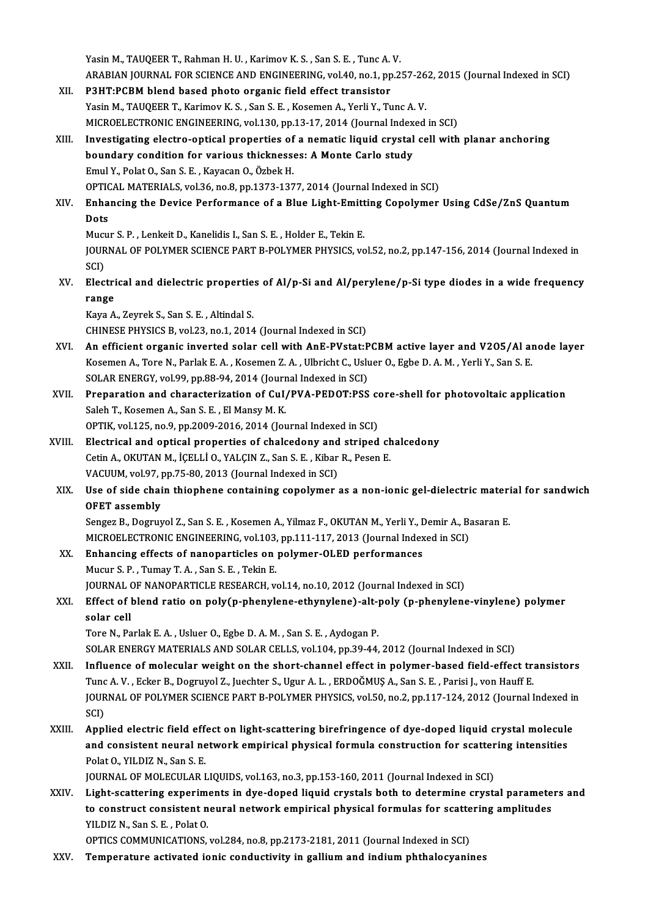|        | Yasin M., TAUQEER T., Rahman H. U., Karimov K. S., San S. E., Tunc A. V.                                              |
|--------|-----------------------------------------------------------------------------------------------------------------------|
|        | ARABIAN JOURNAL FOR SCIENCE AND ENGINEERING, vol.40, no.1, pp.257-262, 2015 (Journal Indexed in SCI)                  |
| XII.   | P3HT:PCBM blend based photo organic field effect transistor                                                           |
|        | Yasin M., TAUQEER T., Karimov K. S., San S. E., Kosemen A., Yerli Y., Tunc A. V.                                      |
|        | MICROELECTRONIC ENGINEERING, vol.130, pp.13-17, 2014 (Journal Indexed in SCI)                                         |
| XIII.  | Investigating electro-optical properties of a nematic liquid crystal cell with planar anchoring                       |
|        | boundary condition for various thicknesses: A Monte Carlo study                                                       |
|        | Emul Y., Polat O., San S. E., Kayacan O., Özbek H.                                                                    |
|        | OPTICAL MATERIALS, vol.36, no.8, pp.1373-1377, 2014 (Journal Indexed in SCI)                                          |
| XIV.   | Enhancing the Device Performance of a Blue Light-Emitting Copolymer Using CdSe/ZnS Quantum<br>Dots                    |
|        | Mucur S. P., Lenkeit D., Kanelidis I., San S. E., Holder E., Tekin E.                                                 |
|        | JOURNAL OF POLYMER SCIENCE PART B-POLYMER PHYSICS, vol.52, no.2, pp.147-156, 2014 (Journal Indexed in<br>SCI)         |
| XV.    | Electrical and dielectric properties of Al/p-Si and Al/perylene/p-Si type diodes in a wide frequency                  |
|        | range                                                                                                                 |
|        | Kaya A., Zeyrek S., San S. E., Altindal S.                                                                            |
|        | CHINESE PHYSICS B, vol.23, no.1, 2014 (Journal Indexed in SCI)                                                        |
| XVI.   | An efficient organic inverted solar cell with AnE-PVstat:PCBM active layer and V205/Al anode layer                    |
|        | Kosemen A., Tore N., Parlak E. A., Kosemen Z. A., Ulbricht C., Usluer O., Egbe D. A. M., Yerli Y., San S. E.          |
|        | SOLAR ENERGY, vol.99, pp.88-94, 2014 (Journal Indexed in SCI)                                                         |
| XVII.  | Preparation and characterization of CuI/PVA-PEDOT:PSS core-shell for photovoltaic application                         |
|        | Saleh T., Kosemen A., San S. E., El Mansy M. K.                                                                       |
|        | OPTIK, vol.125, no.9, pp.2009-2016, 2014 (Journal Indexed in SCI)                                                     |
| XVIII. | Electrical and optical properties of chalcedony and striped chalcedony                                                |
|        | Cetin A., OKUTAN M., İÇELLİ O., YALÇIN Z., San S. E., Kibar R., Pesen E.                                              |
|        | VACUUM, vol 97, pp.75-80, 2013 (Journal Indexed in SCI)                                                               |
| XIX.   | Use of side chain thiophene containing copolymer as a non-ionic gel-dielectric material for sandwich<br>OFET assembly |
|        | Sengez B., Dogruyol Z., San S. E., Kosemen A., Yilmaz F., OKUTAN M., Yerli Y., Demir A., Basaran E.                   |
|        | MICROELECTRONIC ENGINEERING, vol.103, pp.111-117, 2013 (Journal Indexed in SCI)                                       |
| XX.    | Enhancing effects of nanoparticles on polymer-OLED performances                                                       |
|        | Mucur S. P., Tumay T. A., San S. E., Tekin E.                                                                         |
|        | JOURNAL OF NANOPARTICLE RESEARCH, vol.14, no.10, 2012 (Journal Indexed in SCI)                                        |
| XXI.   | Effect of blend ratio on poly(p-phenylene-ethynylene)-alt-poly (p-phenylene-vinylene) polymer<br>solar cell           |
|        | Tore N., Parlak E. A., Usluer O., Egbe D. A. M., San S. E., Aydogan P.                                                |
|        | SOLAR ENERGY MATERIALS AND SOLAR CELLS, vol.104, pp.39-44, 2012 (Journal Indexed in SCI)                              |
| XXII.  | Influence of molecular weight on the short-channel effect in polymer-based field-effect transistors                   |
|        | Tunc A.V., Ecker B., Dogruyol Z., Juechter S., Ugur A.L., ERDOĞMUŞ A., San S.E., Parisi J., von Hauff E.              |
|        | JOURNAL OF POLYMER SCIENCE PART B-POLYMER PHYSICS, vol.50, no.2, pp.117-124, 2012 (Journal Indexed in                 |
|        | SCI)                                                                                                                  |
| XXIII. | Applied electric field effect on light-scattering birefringence of dye-doped liquid crystal molecule                  |
|        | and consistent neural network empirical physical formula construction for scattering intensities                      |
|        | Polat O., YILDIZ N., San S. E.                                                                                        |
|        | JOURNAL OF MOLECULAR LIQUIDS, vol.163, no.3, pp.153-160, 2011 (Journal Indexed in SCI)                                |
| XXIV.  | Light-scattering experiments in dye-doped liquid crystals both to determine crystal parameters and                    |
|        | to construct consistent neural network empirical physical formulas for scattering amplitudes                          |
|        | YILDIZ N., San S. E., Polat O.                                                                                        |
|        | OPTICS COMMUNICATIONS, vol.284, no.8, pp.2173-2181, 2011 (Journal Indexed in SCI)                                     |
| XXV.   | Temperature activated ionic conductivity in gallium and indium phthalocyanines                                        |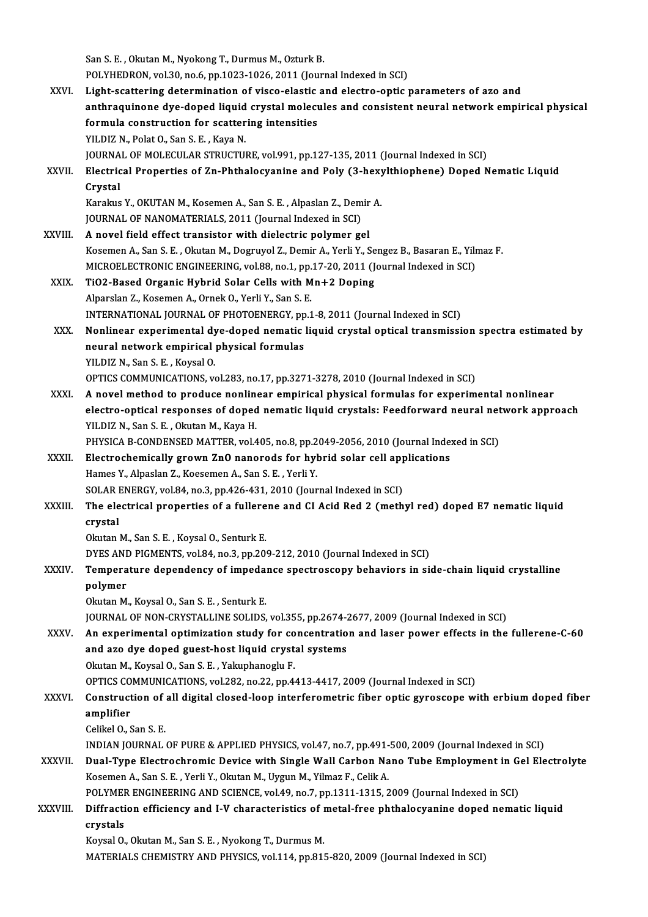San S. E., Okutan M., Nyokong T., Durmus M., Ozturk B. POLYHEDRON, vol.30, no.6, pp.1023-1026, 2011 (Journal Indexed in SCI) XXVI. Light-scattering determination of visco-elastic and electro-optic parameters of azo and POLYHEDRON, vol.30, no.6, pp.1023-1026, 2011 (Journal Indexed in SCI)<br>Light-scattering determination of visco-elastic and electro-optic parameters of azo and<br>anthraquinone dye-doped liquid crystal molecules and consistent Light-scattering determination of visco-elastic<br>anthraquinone dye-doped liquid crystal molecu<br>formula construction for scattering intensities<br>VU DIZ N. Bolat O. San S. E., Kaya N. anthraquinone dye-doped liquid<br>formula construction for scatter<br>YILDIZ N., Polat O., San S. E. , Kaya N.<br>JOUPNAL OE MOLECULAP STRUCTUL formula construction for scattering intensities<br>YILDIZ N., Polat O., San S. E. , Kaya N.<br>JOURNAL OF MOLECULAR STRUCTURE, vol.991, pp.127-135, 2011 (Journal Indexed in SCI)<br>Flostrisal Proporties of 7n Phthalosyanine and Pol YILDIZ N., Polat O., San S. E. , Kaya N.<br>JOURNAL OF MOLECULAR STRUCTURE, vol.991, pp.127-135, 2011 (Journal Indexed in SCI)<br>XXVII. Electrical Properties of Zn-Phthalocyanine and Poly (3-hexylthiophene) Doped Nematic Liquid JOURNA<br>Electric<br>Crystal<br><sup>Korolous</sup> Electrical Properties of Zn-Phthalocyanine and Poly (3-hex)<br>Crystal<br>Karakus Y., OKUTAN M., Kosemen A., San S. E. , Alpaslan Z., Demir A.<br>JOUPNAL OF NANOMATERIALS, 2011 (Journal Indoved in SCD Crystal<br>Karakus Y., OKUTAN M., Kosemen A., San S. E. , Alpaslan Z., Dem<br>JOURNAL OF NANOMATERIALS, 2011 (Journal Indexed in SCI)<br>A novel field offeet transister with dielectris nelymer *se* JOURNAL OF NANOMATERIALS, 2011 (Journal Indexed in SCI)<br>XXVIII. A novel field effect transistor with dielectric polymer gel Kosemen A., San S. E., Okutan M., Dogruyol Z., Demir A., Yerli Y., Sengez B., Basaran E., Yilmaz F. A novel field effect transistor with dielectric polymer gel<br>Kosemen A., San S. E. , Okutan M., Dogruyol Z., Demir A., Yerli Y., Sengez B., Basaran E., Yilr<br>MICROELECTRONIC ENGINEERING, vol.88, no.1, pp.17-20, 2011 (Journal Kosemen A., San S. E., Okutan M., Dogruyol Z., Demir A., Yerli Y., Se<br>MICROELECTRONIC ENGINEERING, vol.88, no.1, pp.17-20, 2011 (J.<br>XXIX. TiO2-Based Organic Hybrid Solar Cells with Mn+2 Doping MICROELECTRONIC ENGINEERING, vol.88, no.1, pp.<br>TiO2-Based Organic Hybrid Solar Cells with M<br>Alparslan Z., Kosemen A., Ornek O., Yerli Y., San S. E.<br>INTERNATIONAL JOURNAL OF BHOTOENERCY nn 1 TiO2-Based Organic Hybrid Solar Cells with Mn+2 Doping<br>Alparslan Z., Kosemen A., Ornek O., Yerli Y., San S. E.<br>INTERNATIONAL JOURNAL OF PHOTOENERGY, pp.1-8, 2011 (Journal Indexed in SCI) Alparslan Z., Kosemen A., Ornek O., Yerli Y., San S. E.<br>INTERNATIONAL JOURNAL OF PHOTOENERGY, pp.1-8, 2011 (Journal Indexed in SCI)<br>XXX. Nonlinear experimental dye-doped nematic liquid crystal optical transmission spectra INTERNATIONAL JOURNAL OF PHOTOENERGY, pp<br>Nonlinear experimental dye-doped nematic<br>neural network empirical physical formulas<br>VU DIZ N. Son S. E., Koveel O. Nonlinear experimental dy<br>neural network empirical<br>YILDIZ N., San S. E. , Koysal O.<br>OPTICS COMMUNICATIONS neural network empirical physical formulas<br>YILDIZ N., San S. E. , Koysal O.<br>OPTICS COMMUNICATIONS, vol.283, no.17, pp.3271-3278, 2010 (Journal Indexed in SCI) XXXI. A novel method to produce nonlinear empirical physical formulas for experimental nonlinear OPTICS COMMUNICATIONS, vol.283, no.17, pp.3271-3278, 2010 (Journal Indexed in SCI)<br>A novel method to produce nonlinear empirical physical formulas for experimental nonlinear<br>electro-optical responses of doped nematic liqui A novel method to produce nonline<br>electro-optical responses of doped<br>YILDIZ N., San S. E. , Okutan M., Kaya H.<br>PHYSICA B CONDENSED MATTER vol 4 electro-optical responses of doped nematic liquid crystals: Feedforward neural net<br>YILDIZ N., San S. E. , Okutan M., Kaya H.<br>PHYSICA B-CONDENSED MATTER, vol.405, no.8, pp.2049-2056, 2010 (Journal Indexed in SCI)<br>Flestrocho YILDIZ N., San S. E. , Okutan M., Kaya H.<br>PHYSICA B-CONDENSED MATTER, vol.405, no.8, pp.2049-2056, 2010 (Journal Index<br>XXXII. Electrochemically grown ZnO nanorods for hybrid solar cell applications<br>Hames Y. Alpaslan Z. Kos PHYSICA B-CONDENSED MATTER, vol.405, no.8, pp.2049-2056, 2010 (Journal Indexed in SCI)<br>Electrochemically grown ZnO nanorods for hybrid solar cell applications<br>Hames Y., Alpaslan Z., Koesemen A., San S. E., Yerli Y.<br>SOLAR E Electrochemically grown ZnO nanorods for hybrid solar cell app<br>Hames Y., Alpaslan Z., Koesemen A., San S. E. , Yerli Y.<br>SOLAR ENERGY, vol.84, no.3, pp.426-431, 2010 (Journal Indexed in SCI)<br>The electrical properties of a f Hames Y., Alpaslan Z., Koesemen A., San S. E. , Yerli Y.<br>SOLAR ENERGY, vol.84, no.3, pp.426-431, 2010 (Journal Indexed in SCI)<br>XXXIII. The electrical properties of a fullerene and CI Acid Red 2 (methyl red) doped E7 ne SOLAR I<br>The ele<br>crystal<br><sup>Olnton</sup> The electrical properties of a fullere<br>crystal<br>Okutan M., San S. E. , Koysal O., Senturk E.<br>DYES AND PICMENTS vol 84, po 3,pp 30 crystal<br>Okutan M., San S. E. , Koysal O., Senturk E.<br>DYES AND PIGMENTS, vol.84, no.3, pp.209-212, 2010 (Journal Indexed in SCI) Okutan M., San S. E. , Koysal O., Senturk E.<br>DYES AND PIGMENTS, vol.84, no.3, pp.209-212, 2010 (Journal Indexed in SCI)<br>XXXIV. Temperature dependency of impedance spectroscopy behaviors in side-chain liquid crystalline DYES ANI<br>Tempera<br>polymer<br><sup>Olnton M</sup> Temperature dependency of impeda<br>polymer<br>Okutan M., Koysal O., San S. E. , Senturk E.<br>JOUPMAL OF NON CRYSTALLINE SOLIDS polymer<br>Okutan M., Koysal O., San S. E. , Senturk E.<br>JOURNAL OF NON-CRYSTALLINE SOLIDS, vol.355, pp.2674-2677, 2009 (Journal Indexed in SCI) XXXV. An experimental optimization study for concentration and laser power effects in the fullerene-C-60 and azo dye doped guest-host liquid crystal systems Okutan M., Koysal O., San S. E., Yakuphanoglu F. OPTICSCOMMUNICATIONS,vol.282,no.22,pp.4413-4417,2009 (Journal Indexed inSCI) Okutan M., Koysal O., San S. E. , Yakuphanoglu F.<br>OPTICS COMMUNICATIONS, vol.282, no.22, pp.4413-4417, 2009 (Journal Indexed in SCI)<br>XXXVI. Construction of all digital closed-loop interferometric fiber optic gyroscope OPTICS CO<br>Construct<br>amplifier<br>Colikel O **Construction of<br>amplifier<br>Celikel O., San S. E.**<br>INDIAN IOUPNAL amplifier<br>Celikel O., San S. E.<br>INDIAN JOURNAL OF PURE & APPLIED PHYSICS, vol.47, no.7, pp.491-500, 2009 (Journal Indexed in SCI)<br>Dual Tune Flestreshromis Devise with Single Wall Cerben Nane Tube Empleyment in Cel Fle Celikel O., San S. E.<br>INDIAN JOURNAL OF PURE & APPLIED PHYSICS, vol.47, no.7, pp.491-500, 2009 (Journal Indexed in SCI)<br>XXXVII. Dual-Type Electrochromic Device with Single Wall Carbon Nano Tube Employment in Gel Electr INDIAN JOURNAL OF PURE & APPLIED PHYSICS, vol.47, no.7, pp.491-<br>Dual-Type Electrochromic Device with Single Wall Carbon Na<br>Kosemen A., San S. E., Yerli Y., Okutan M., Uygun M., Yilmaz F., Celik A.<br>POLYMER ENCINEERING AND S Dual-Type Electrochromic Device with Single Wall Carbon Nano Tube Employment in G<br>Kosemen A., San S. E. , Yerli Y., Okutan M., Uygun M., Yilmaz F., Celik A.<br>POLYMER ENGINEERING AND SCIENCE, vol.49, no.7, pp.1311-1315, 2009 Kosemen A., San S. E. , Yerli Y., Okutan M., Uygun M., Yilmaz F., Celik A.<br>POLYMER ENGINEERING AND SCIENCE, vol.49, no.7, pp.1311-1315, 2009 (Journal Indexed in SCI)<br>XXXVIII. Diffraction efficiency and I-V characterist POLYMEI<br>Diffracti<br>crystals<br><sup>Kovsel O</sup> Diffraction efficiency and I-V characteristics of **1**<br>crystals<br>Koysal O., Okutan M., San S. E. , Nyokong T., Durmus M.<br>MATERIALS CHEMISTRY AND RHYSICS vol.114 pp.911 crystals<br>Koysal O., Okutan M., San S. E. , Nyokong T., Durmus M.<br>MATERIALS CHEMISTRY AND PHYSICS, vol.114, pp.815-820, 2009 (Journal Indexed in SCI)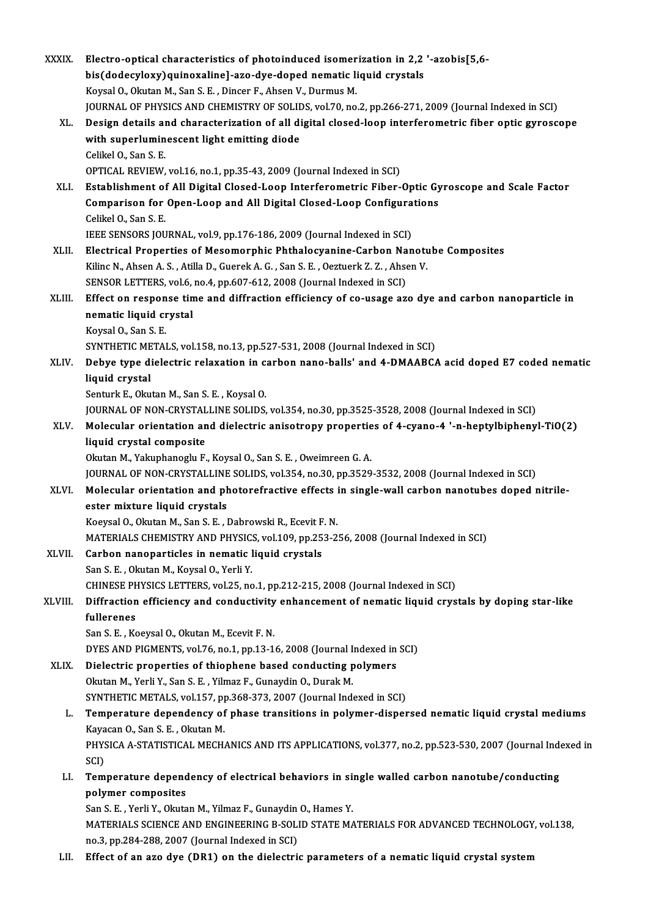| <b>XXXIX</b> | Electro-optical characteristics of photoinduced isomerization in 2,2 '-azobis[5,6-                        |
|--------------|-----------------------------------------------------------------------------------------------------------|
|              | bis(dodecyloxy)quinoxaline]-azo-dye-doped nematic liquid crystals                                         |
|              | Koysal O., Okutan M., San S. E., Dincer F., Ahsen V., Durmus M.                                           |
|              | JOURNAL OF PHYSICS AND CHEMISTRY OF SOLIDS, vol.70, no.2, pp.266-271, 2009 (Journal Indexed in SCI)       |
| XL.          | Design details and characterization of all digital closed-loop interferometric fiber optic gyroscope      |
|              | with superluminescent light emitting diode                                                                |
| XLI.         | Celikel O., San S. E.                                                                                     |
|              | OPTICAL REVIEW, vol.16, no.1, pp.35-43, 2009 (Journal Indexed in SCI)                                     |
|              | Establishment of All Digital Closed-Loop Interferometric Fiber-Optic Gyroscope and Scale Factor           |
|              | Comparison for Open-Loop and All Digital Closed-Loop Configurations                                       |
|              | Celikel O., San S. E.                                                                                     |
|              | IEEE SENSORS JOURNAL, vol.9, pp.176-186, 2009 (Journal Indexed in SCI)                                    |
| XLII.        | Electrical Properties of Mesomorphic Phthalocyanine-Carbon Nanotube Composites                            |
|              | Kilinc N., Ahsen A. S., Atilla D., Guerek A. G., San S. E., Oeztuerk Z. Z., Ahsen V.                      |
|              | SENSOR LETTERS, vol.6, no.4, pp.607-612, 2008 (Journal Indexed in SCI)                                    |
| XLIII.       | Effect on response time and diffraction efficiency of co-usage azo dye and carbon nanoparticle in         |
|              | nematic liquid crystal                                                                                    |
|              | Koysal O, San S E                                                                                         |
|              | SYNTHETIC METALS, vol.158, no.13, pp.527-531, 2008 (Journal Indexed in SCI)                               |
| XLIV.        | Debye type dielectric relaxation in carbon nano-balls' and 4-DMAABCA acid doped E7 coded nematic          |
|              | liquid crystal                                                                                            |
|              | Senturk E., Okutan M., San S. E., Koysal O.                                                               |
|              | JOURNAL OF NON-CRYSTALLINE SOLIDS, vol.354, no.30, pp.3525-3528, 2008 (Journal Indexed in SCI)            |
| XLV.         | Molecular orientation and dielectric anisotropy properties of 4-cyano-4 '-n-heptylbiphenyl-TiO(2)         |
|              | liquid crystal composite<br>Okutan M., Yakuphanoglu F., Koysal O., San S. E., Oweimreen G. A.             |
|              | JOURNAL OF NON-CRYSTALLINE SOLIDS, vol.354, no.30, pp.3529-3532, 2008 (Journal Indexed in SCI)            |
| XLVI.        | Molecular orientation and photorefractive effects in single-wall carbon nanotubes doped nitrile-          |
|              | ester mixture liquid crystals                                                                             |
|              | Koeysal O., Okutan M., San S. E., Dabrowski R., Ecevit F. N.                                              |
|              | MATERIALS CHEMISTRY AND PHYSICS, vol.109, pp.253-256, 2008 (Journal Indexed in SCI)                       |
| <b>XLVII</b> | Carbon nanoparticles in nematic liquid crystals                                                           |
|              | San S. E., Okutan M., Koysal O., Yerli Y.                                                                 |
|              | CHINESE PHYSICS LETTERS, vol.25, no.1, pp.212-215, 2008 (Journal Indexed in SCI)                          |
| XLVIII.      | Diffraction efficiency and conductivity enhancement of nematic liquid crystals by doping star-like        |
|              | fullerenes                                                                                                |
|              | San S. E., Koeysal O., Okutan M., Ecevit F. N.                                                            |
|              | DYES AND PIGMENTS, vol.76, no.1, pp.13-16, 2008 (Journal Indexed in SCI)                                  |
| XLIX.        | Dielectric properties of thiophene based conducting polymers                                              |
|              | Okutan M., Yerli Y., San S. E., Yilmaz F., Gunaydin O., Durak M.                                          |
|              | SYNTHETIC METALS, vol.157, pp.368-373, 2007 (Journal Indexed in SCI)                                      |
| L.           | Temperature dependency of phase transitions in polymer-dispersed nematic liquid crystal mediums           |
|              | Kayacan O, San S.E., Okutan M.                                                                            |
|              | PHYSICA A-STATISTICAL MECHANICS AND ITS APPLICATIONS, vol.377, no.2, pp.523-530, 2007 (Journal Indexed in |
|              | SCI)                                                                                                      |
| LI.          | Temperature dependency of electrical behaviors in single walled carbon nanotube/conducting                |
|              | polymer composites                                                                                        |
|              | San S. E., Yerli Y., Okutan M., Yilmaz F., Gunaydin O., Hames Y.                                          |
|              | MATERIALS SCIENCE AND ENGINEERING B-SOLID STATE MATERIALS FOR ADVANCED TECHNOLOGY, vol.138,               |
|              | no.3, pp.284-288, 2007 (Journal Indexed in SCI)                                                           |
| LII.         | Effect of an azo dye (DR1) on the dielectric parameters of a nematic liquid crystal system                |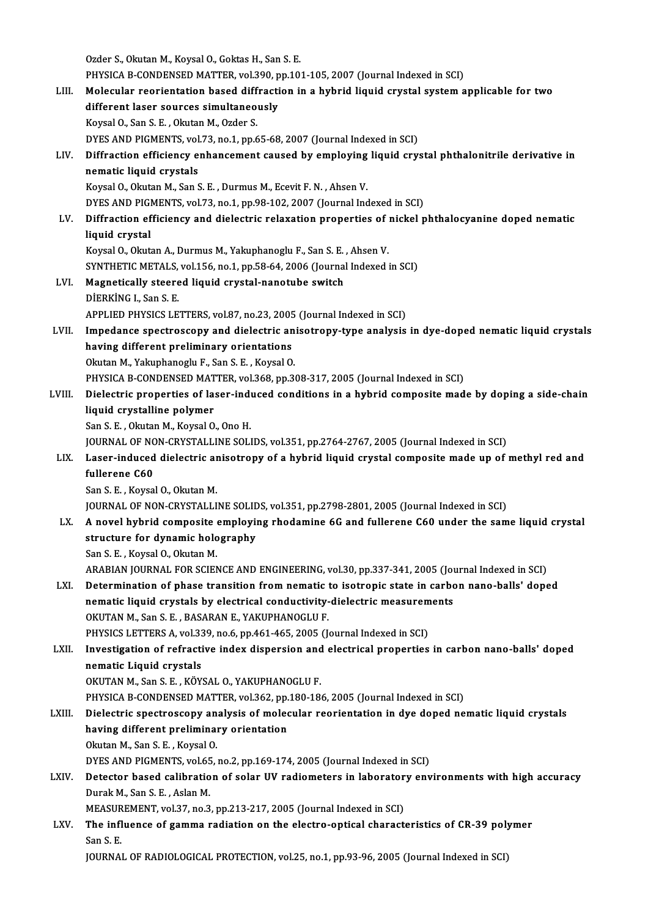Ozder S., Okutan M., Koysal O., Goktas H., San S. E. Ozder S., Okutan M., Koysal O., Goktas H., San S. E.<br>PHYSICA B-CONDENSED MATTER, vol.390, pp.101-105, 2007 (Journal Indexed in SCI)<br>Melecular reorientation bosed diffraction in a bybrid liquid crystal system a Ozder S., Okutan M., Koysal O., Goktas H., San S. E.<br>PHYSICA B-CONDENSED MATTER, vol.390, pp.101-105, 2007 (Journal Indexed in SCI)<br>LIII. Molecular reorientation based diffraction in a hybrid liquid crystal system applicab PHYSICA B-CONDENSED MATTER, vol.390, p<br>Molecular reorientation based diffracti<br>different laser sources simultaneously<br>Kayaal Q. San S. E., Olaitan M. Orden S. Molecular reorientation based diff<br>different laser sources simultaneo<br>Koysal O., San S. E. , Okutan M., Ozder S.<br>DVES AND BICMENTS vol 73 no 1 nn 6 different laser sources simultaneously<br>Koysal O., San S. E. , Okutan M., Ozder S.<br>DYES AND PIGMENTS, vol.73, no.1, pp.65-68, 2007 (Journal Indexed in SCI) Koysal O., San S. E. , Okutan M., Ozder S.<br>DYES AND PIGMENTS, vol.73, no.1, pp.65-68, 2007 (Journal Indexed in SCI)<br>LIV. Diffraction efficiency enhancement caused by employing liquid crystal phthalonitrile derivative i DYES AND PIGMENTS, vol<br>Diffraction efficiency e<br>nematic liquid crystals<br>Kavsal O. Olutan M. San S Diffraction efficiency enhancement caused by employing<br>nematic liquid crystals<br>Koysal O., Okutan M., San S. E. , Durmus M., Ecevit F. N. , Ahsen V.<br>DVES AND PICMENTS vol 72, no 1, np 98, 192, 2007 (Journal Ind nematic liquid crystals<br>Koysal O., Okutan M., San S. E. , Durmus M., Ecevit F. N. , Ahsen V.<br>DYES AND PIGMENTS, vol.73, no.1, pp.98-102, 2007 (Journal Indexed in SCI)<br>Diffrection officiency and dialectric relayation proper Koysal O., Okutan M., San S. E. , Durmus M., Ecevit F. N. , Ahsen V.<br>DYES AND PIGMENTS, vol.73, no.1, pp.98-102, 2007 (Journal Indexed in SCI)<br>LV. Diffraction efficiency and dielectric relaxation properties of nickel p DYES AND PIGI<br>Diffraction ef<br>liquid crystal<br>Kovsel O. Olart Diffraction efficiency and dielectric relaxation properties of<br>liquid crystal<br>Koysal O., Okutan A., Durmus M., Yakuphanoglu F., San S. E. , Ahsen V.<br>SYNTHETIC METALS, vol.156, no.1, np.58,64,2006 (Journal Indoved) liquid crystal<br>Koysal O., Okutan A., Durmus M., Yakuphanoglu F., San S. E. , Ahsen V.<br>SYNTHETIC METALS, vol.156, no.1, pp.58-64, 2006 (Journal Indexed in SCI)<br>Megnetically steered liquid envetal penetube switch. Koysal O., Okutan A., Durmus M., Yakuphanoglu F., San S. E. , Ahsen V.<br>SYNTHETIC METALS, vol.156, no.1, pp.58-64, 2006 (Journal Indexed i<br>LVI. Magnetically steered liquid crystal-nanotube switch<br>DIERKING I., San S. E. SYNTHETIC METALS,<br>Magnetically steere<br>DİERKİNG I., San S. E.<br>APRLIED PHYSICS LE APPLIED PHYSICS LETTERS, vol.87, no.23, 2005 (Journal Indexed in SCI) DİERKİNG I., San S. E.<br>APPLIED PHYSICS LETTERS, vol.87, no.23, 2005 (Journal Indexed in SCI)<br>LVII. Impedance spectroscopy and dielectric anisotropy-type analysis in dye-doped nematic liquid crystals<br>having different prolim APPLIED PHYSICS LETTERS, vol.87, no.23, 2005<br>Impedance spectroscopy and dielectric an<br>having different preliminary orientations<br>Olutan M. Veluphanesly E. San S. E., Kaysal O Impedance spectroscopy and dielectric an<br>having different preliminary orientations<br>Okutan M., Yakuphanoglu F., San S. E. , Koysal O.<br>PHYSICA P. CONDENSED MATTER vol 269 np 3 having different preliminary orientations<br>Okutan M., Yakuphanoglu F., San S. E. , Koysal O.<br>PHYSICA B-CONDENSED MATTER, vol.368, pp.308-317, 2005 (Journal Indexed in SCI) LVIII. Dielectric properties of laser-induced conditions in a hybrid composite made by doping a side-chain liquid crystalline polymer San S.E., Okutan M., Koysal O., Ono H. liquid crystalline polymer<br>San S. E. , Okutan M., Koysal O., Ono H.<br>JOURNAL OF NON-CRYSTALLINE SOLIDS, vol.351, pp.2764-2767, 2005 (Journal Indexed in SCI)<br>Laser indused dielectric anisotrony of a bybrid liquid crystal com San S. E. , Okutan M., Koysal O., Ono H.<br>JOURNAL OF NON-CRYSTALLINE SOLIDS, vol.351, pp.2764-2767, 2005 (Journal Indexed in SCI)<br>LIX. Laser-induced dielectric anisotropy of a hybrid liquid crystal composite made up of **JOURNAL OF NC<br>Laser-induced<br>fullerene C60**<br>San S-E - Koyse Laser-induced dielectric an<br>fullerene C60<br>San S. E. , Koysal O., Okutan M.<br>JOUPMAL OE NON CRYSTALLI fullerene C60<br>San S. E. , Koysal O., Okutan M.<br>JOURNAL OF NON-CRYSTALLINE SOLIDS, vol.351, pp.2798-2801, 2005 (Journal Indexed in SCI)<br>A novel bybrid composite employing rhodomine 6C and fullerene C60 under the sem San S. E. , Koysal O., Okutan M.<br>JOURNAL OF NON-CRYSTALLINE SOLIDS, vol.351, pp.2798-2801, 2005 (Journal Indexed in SCI)<br>LX. A novel hybrid composite employing rhodamine 6G and fullerene C60 under the same liquid cryst JOURNAL OF NON-CRYSTALLINE SOLIE<br>A novel hybrid composite employin<br>structure for dynamic holography<br>San S E - Kaysel Q - Olntan M A novel hybrid composite<br>structure for dynamic holo<br>San S. E. , Koysal O., Okutan M.<br>ARAPIAN JOURNAL FOR SCIEN structure for dynamic holography<br>San S. E. , Koysal O., Okutan M.<br>ARABIAN JOURNAL FOR SCIENCE AND ENGINEERING, vol.30, pp.337-341, 2005 (Journal Indexed in SCI)<br>Determination of phase transition from nomatis to isotronis s San S. E. , Koysal O., Okutan M.<br>ARABIAN JOURNAL FOR SCIENCE AND ENGINEERING, vol.30, pp.337-341, 2005 (Journal Indexed in SCI)<br>LXI. Determination of phase transition from nematic to isotropic state in carbon nano-balls' d ARABIAN JOURNAL FOR SCIENCE AND ENGINEERING, vol.30, pp.337-341, 2005 (Journal of phase transition from nematic to isotropic state in carbonematic liquid crystals by electrical conductivity-dielectric measurements<br>OVUTAN M Determination of phase transition from nematic t<br>nematic liquid crystals by electrical conductivity-<br>OKUTAN M., San S. E., BASARAN E., YAKUPHANOGLU F.<br>PHYSICS LETTERS A vol 330 no 6 nn 461, 465, 3005 (L nematic liquid crystals by electrical conductivity-dielectric measurem<br>OKUTAN M., San S. E. , BASARAN E., YAKUPHANOGLU F.<br>PHYSICS LETTERS A, vol.339, no.6, pp.461-465, 2005 (Journal Indexed in SCI)<br>Investigation of refract OKUTAN M., San S. E. , BASARAN E., YAKUPHANOGLU F.<br>PHYSICS LETTERS A, vol.339, no.6, pp.461-465, 2005 (Journal Indexed in SCI)<br>LXII. Investigation of refractive index dispersion and electrical properties in carbon nano-bal PHYSICS LETTERS A, vol.33<br>Investigation of refracti<br>nematic Liquid crystals<br>OVUTAN M, San S, E, KÖV Investigation of refractive index dispersion and<br>nematic Liquid crystals<br>OKUTAN M., San S. E. , KÖYSAL O., YAKUPHANOGLU F.<br>puvsica P. CONDENSED MATTER, vol 362 pp.180-19. nematic Liquid crystals<br>OKUTAN M., San S. E. , KÖYSAL O., YAKUPHANOGLU F.<br>PHYSICA B-CONDENSED MATTER, vol.362, pp.180-186, 2005 (Journal Indexed in SCI)<br>Dielectric spectrosseny analysis of molecular reorientation in dye do OKUTAN M., San S. E. , KÖYSAL O., YAKUPHANOGLU F.<br>PHYSICA B-CONDENSED MATTER, vol.362, pp.180-186, 2005 (Journal Indexed in SCI)<br>LXIII. Dielectric spectroscopy analysis of molecular reorientation in dye doped nematic liqui PHYSICA B-CONDENSED MATTER, vol.362, pp.<br>Dielectric spectroscopy analysis of moleo<br>having different preliminary orientation Dielectric spectroscopy an<br>having different preliminal<br>Okutan M., San S. E. , Koysal O.<br>DYES AND PICMENTS, vol.65 having different preliminary orientation<br>Okutan M., San S. E. , Koysal O.<br>DYES AND PIGMENTS, vol.65, no.2, pp.169-174, 2005 (Journal Indexed in SCI) LXIV. Detector based calibration of solar UV radiometers in laboratory environments with high accuracy DurakM.,SanS.E. ,AslanM. Detector based calibration of solar UV radiometers in laborator<br>Durak M., San S. E. , Aslan M.<br>MEASUREMENT, vol.37, no.3, pp.213-217, 2005 (Journal Indexed in SCI)<br>The influence of comme rediation on the cleatre optical sh LXV. The influence of gamma radiation on the electro-optical characteristics of CR-39 polymer MEASUR<br>The infl<br>San S. E.<br>JOUPMA! JOURNAL OF RADIOLOGICAL PROTECTION, vol.25, no.1, pp.93-96, 2005 (Journal Indexed in SCI)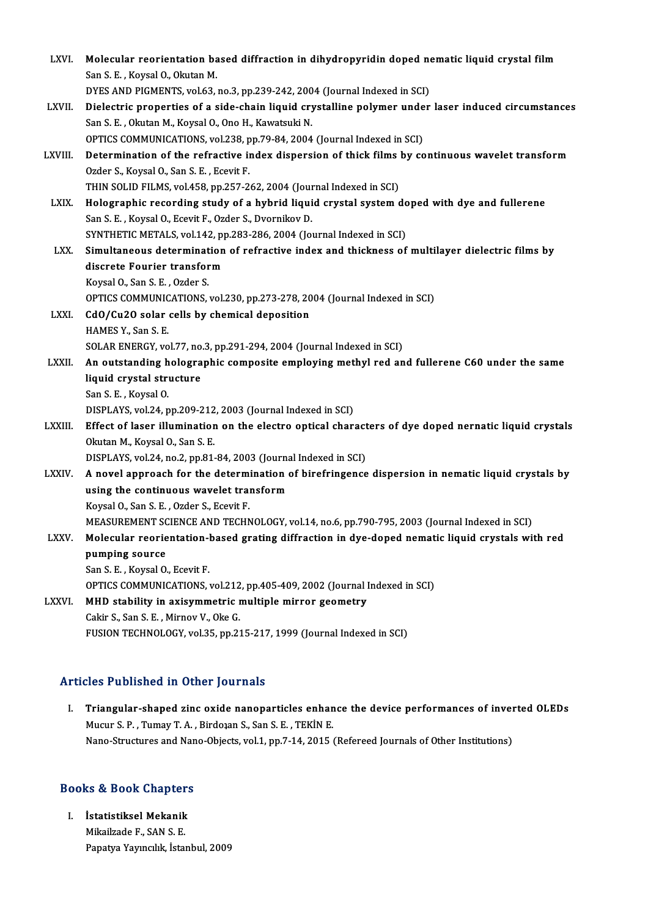| LXVI.         | Molecular reorientation based diffraction in dihydropyridin doped nematic liquid crystal film<br>San S. E., Koysal O., Okutan M. |
|---------------|----------------------------------------------------------------------------------------------------------------------------------|
|               | DYES AND PIGMENTS, vol.63, no.3, pp.239-242, 2004 (Journal Indexed in SCI)                                                       |
| LXVII.        | Dielectric properties of a side-chain liquid crystalline polymer under laser induced circumstances                               |
|               | San S. E., Okutan M., Koysal O., Ono H., Kawatsuki N.                                                                            |
|               | OPTICS COMMUNICATIONS, vol.238, pp.79-84, 2004 (Journal Indexed in SCI)                                                          |
| LXVIII.       | Determination of the refractive index dispersion of thick films by continuous wavelet transform                                  |
|               | Ozder S., Koysal O., San S. E., Ecevit F.                                                                                        |
|               | THIN SOLID FILMS, vol 458, pp.257-262, 2004 (Journal Indexed in SCI)                                                             |
| LXIX.         | Holographic recording study of a hybrid liquid crystal system doped with dye and fullerene                                       |
|               | San S. E., Koysal O., Ecevit F., Ozder S., Dvornikov D.                                                                          |
|               | SYNTHETIC METALS, vol.142, pp.283-286, 2004 (Journal Indexed in SCI)                                                             |
| LXX.          | Simultaneous determination of refractive index and thickness of multilayer dielectric films by                                   |
|               | discrete Fourier transform                                                                                                       |
|               | Koysal O., San S. E., Ozder S.                                                                                                   |
|               | OPTICS COMMUNICATIONS, vol.230, pp.273-278, 2004 (Journal Indexed in SCI)                                                        |
| <b>LXXI</b>   | CdO/Cu2O solar cells by chemical deposition                                                                                      |
|               | HAMES Y, San S E                                                                                                                 |
|               | SOLAR ENERGY, vol.77, no.3, pp.291-294, 2004 (Journal Indexed in SCI)                                                            |
| <b>LXXII</b>  | An outstanding holographic composite employing methyl red and fullerene C60 under the same                                       |
|               | liquid crystal structure                                                                                                         |
|               | San S E, Koysal O                                                                                                                |
|               | DISPLAYS, vol.24, pp.209-212, 2003 (Journal Indexed in SCI)                                                                      |
| LXXIII.       | Effect of laser illumination on the electro optical characters of dye doped nernatic liquid crystals                             |
|               | Okutan M., Koysal O., San S. E.                                                                                                  |
|               | DISPLAYS, vol.24, no.2, pp.81-84, 2003 (Journal Indexed in SCI)                                                                  |
| <b>LXXIV</b>  | A novel approach for the determination of birefringence dispersion in nematic liquid crystals by                                 |
|               | using the continuous wavelet transform                                                                                           |
|               | Koysal O., San S. E., Ozder S., Ecevit F.                                                                                        |
|               | MEASUREMENT SCIENCE AND TECHNOLOGY, vol.14, no.6, pp.790-795, 2003 (Journal Indexed in SCI)                                      |
| <b>LXXV</b>   | Molecular reorientation-based grating diffraction in dye-doped nematic liquid crystals with red                                  |
|               | pumping source                                                                                                                   |
|               | San S. E., Koysal O., Ecevit F.                                                                                                  |
|               | OPTICS COMMUNICATIONS, vol.212, pp.405-409, 2002 (Journal Indexed in SCI)                                                        |
| <b>LXXVI.</b> | MHD stability in axisymmetric multiple mirror geometry                                                                           |
|               | Cakir S., San S. E., Mirnov V., Oke G.                                                                                           |
|               | FUSION TECHNOLOGY, vol.35, pp.215-217, 1999 (Journal Indexed in SCI)                                                             |

# Articles Published in Other Journals

I. Triangular-shaped zinc oxide nanoparticles enhance the device performances of inverted OLEDs Mucur S.P., Tumay T.A., Birdoaan S., San S.E., TEKİN E. Nano-Structures and Nano-Objects, vol.1, pp.7-14, 2015 (Refereed Journals of Other Institutions)

# 1988 - Nano-Structures and Nano<br>Books & Book Chapters

ooks & Book Chapter:<br>I. İstatistiksel Mekanik<br>Mikaikada E. SANS E. I. İstatistiksel Mekanik<br>Mikailzade F., SAN S. E. Papatya Yayıncılık, İstanbul, 2009